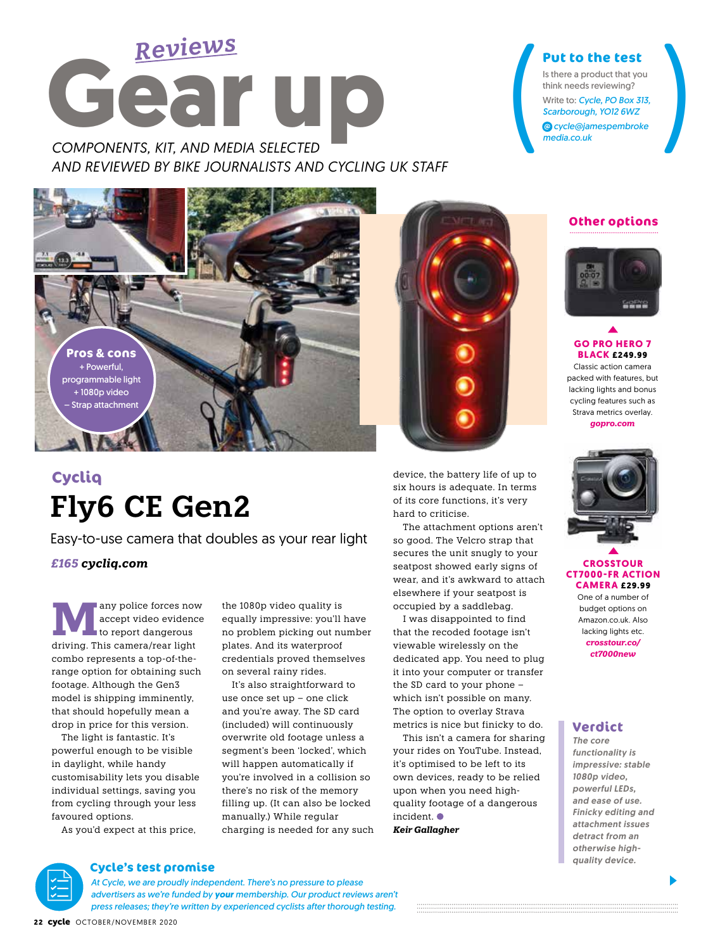

*AND REVIEWED BY BIKE JOURNALISTS AND CYCLING UK STAFF*



# **Fly6 CE Gen2 Cycliq**

Easy-to-use camera that doubles as your rear light

*£165 cycliq.com*

**MA** any police forces now<br>to report dangerous<br>driving This camera (rear light) accept video evidence driving. This camera/rear light combo represents a top-of-therange option for obtaining such footage. Although the Gen3 model is shipping imminently, that should hopefully mean a drop in price for this version.

 The light is fantastic. It's powerful enough to be visible in daylight, while handy customisability lets you disable individual settings, saving you from cycling through your less favoured options.

As you'd expect at this price,

the 1080p video quality is equally impressive: you'll have no problem picking out number plates. And its waterproof credentials proved themselves on several rainy rides.

 It's also straightforward to use once set up – one click and you're away. The SD card (included) will continuously overwrite old footage unless a segment's been 'locked', which will happen automatically if you're involved in a collision so there's no risk of the memory filling up. (It can also be locked manually.) While regular charging is needed for any such



device, the battery life of up to six hours is adequate. In terms of its core functions, it's very hard to criticise.

 The attachment options aren't so good. The Velcro strap that secures the unit snugly to your seatpost showed early signs of wear, and it's awkward to attach elsewhere if your seatpost is occupied by a saddlebag.

I was disappointed to find that the recoded footage isn't viewable wirelessly on the dedicated app. You need to plug it into your computer or transfer the SD card to your phone – which isn't possible on many. The option to overlay Strava metrics is nice but finicky to do.

 This isn't a camera for sharing your rides on YouTube. Instead, it's optimised to be left to its own devices, ready to be relied upon when you need highquality footage of a dangerous incident.

*Keir Gallagher*

### **Other options**

Put to the test<br>
Is there a product that you<br>
think needs reviewing?<br>
Write to: Cycle, PO Box 313,<br>
Scarborough, YO12 6WZ<br>
© cycle@jamespembroke<br>
media.co.uk

*media.co.uk*

**Put to the test** Is there a product that you think needs reviewing? Write to: *Cycle, PO Box 313, Scarborough, YO12 6WZ cycle@jamespembroke*



**GO PRO HERO 7 BLACK £249.99** Classic action camera packed with features, but lacking lights and bonus

cycling features such as Strava metrics overlay. *gopro.com*



#### **CROSSTOUR CT7000-FR ACTION CAMERA £29.99**

One of a number of budget options on Amazon.co.uk. Also lacking lights etc. *crosstour.co/ ct7000new*

# **Verdict**

*The core functionality is impressive: stable 1080p video, powerful LEDs, and ease of use. Finicky editing and attachment issues detract from an otherwise highquality device.*

**Cycle's test promise** *At Cycle, we are proudly independent. There's no pressure to please advertisers as we're funded by your membership. Our product reviews aren't press releases; they're written by experienced cyclists after thorough testing.*

**22** cycle OCTOBER/NOVEMBER 2020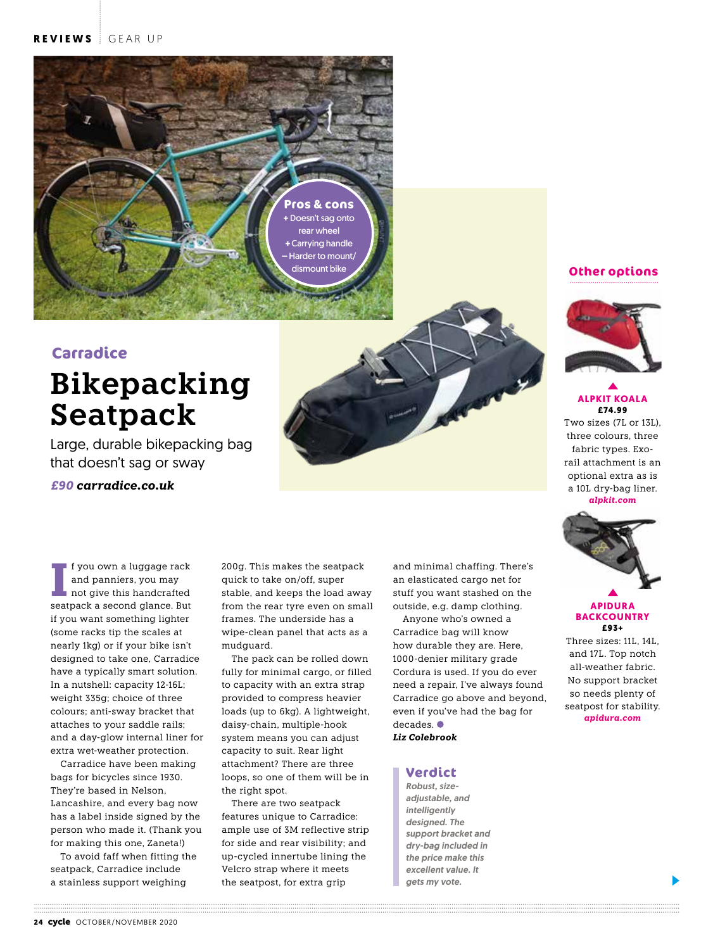

# **Carradice**

# **Bikepacking Seatpack**

Large, durable bikepacking bag that doesn't sag or sway

*£90 carradice.co.uk*

**I**seatpack and panniers, you may<br>
not give this handcrafted<br>
seatpack a second glance. But f you own a luggage rack and panniers, you may not give this handcrafted if you want something lighter (some racks tip the scales at nearly 1kg) or if your bike isn't designed to take one, Carradice have a typically smart solution. In a nutshell: capacity 12-16L; weight 335g; choice of three colours; anti-sway bracket that attaches to your saddle rails; and a day-glow internal liner for extra wet-weather protection.

Carradice have been making bags for bicycles since 1930. They're based in Nelson, Lancashire, and every bag now has a label inside signed by the person who made it. (Thank you for making this one, Zaneta!)

To avoid faff when fitting the seatpack, Carradice include a stainless support weighing

200g. This makes the seatpack quick to take on/off, super stable, and keeps the load away from the rear tyre even on small frames. The underside has a wipe-clean panel that acts as a mudguard.

The pack can be rolled down fully for minimal cargo, or filled to capacity with an extra strap provided to compress heavier loads (up to 6kg). A lightweight, daisy-chain, multiple-hook system means you can adjust capacity to suit. Rear light attachment? There are three loops, so one of them will be in the right spot.

There are two seatpack features unique to Carradice: ample use of 3M reflective strip for side and rear visibility; and up-cycled innertube lining the Velcro strap where it meets the seatpost, for extra grip

and minimal chaffing. There's an elasticated cargo net for stuff you want stashed on the outside, e.g. damp clothing.

Anyone who's owned a Carradice bag will know how durable they are. Here, 1000-denier military grade Cordura is used. If you do ever need a repair, I've always found Carradice go above and beyond, even if you've had the bag for decades.<sup>●</sup>

*Liz Colebrook*

#### **Verdict**

*Robust, sizeadjustable, and intelligently designed. The support bracket and dry-bag included in the price make this excellent value. It gets my vote.*



**ALPKIT KOALA £74.99** 

Two sizes (7L or 13L), three colours, three fabric types. Exorail attachment is an optional extra as is a 10L dry-bag liner. *alpkit.com*



#### **APIDURA BACKCOUNTRY £93+**

Three sizes: 11L, 14L, and 17L. Top notch all-weather fabric. No support bracket so needs plenty of seatpost for stability. *apidura.com*